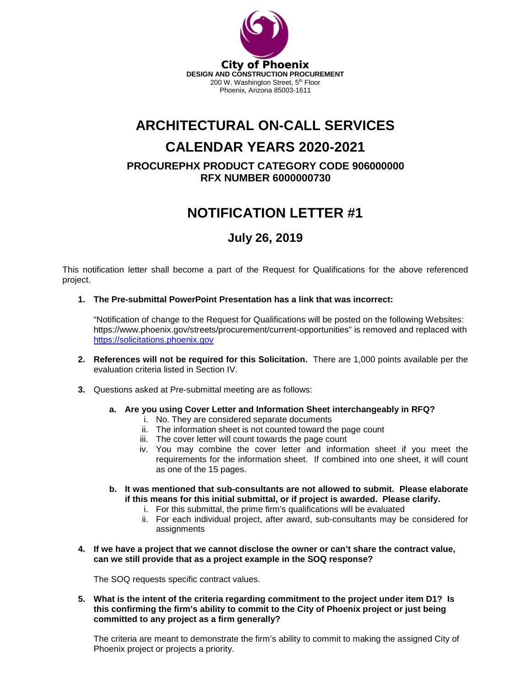

# **ARCHITECTURAL ON-CALL SERVICES**

# **CALENDAR YEARS 2020-2021**

**PROCUREPHX PRODUCT CATEGORY CODE 906000000 RFX NUMBER 6000000730**

## **NOTIFICATION LETTER #1**

### **July 26, 2019**

This notification letter shall become a part of the Request for Qualifications for the above referenced project.

**1. The Pre-submittal PowerPoint Presentation has a link that was incorrect:**

"Notification of change to the Request for Qualifications will be posted on the following Websites: https://www.phoenix.gov/streets/procurement/current-opportunities" is removed and replaced with [https://solicitations.phoenix.gov](https://solicitations.phoenix.gov/)

- **2. References will not be required for this Solicitation.** There are 1,000 points available per the evaluation criteria listed in Section IV.
- **3.** Questions asked at Pre-submittal meeting are as follows:
	- **a. Are you using Cover Letter and Information Sheet interchangeably in RFQ?**
		- i. No. They are considered separate documents
		- ii. The information sheet is not counted toward the page count
		- iii. The cover letter will count towards the page count
		- iv. You may combine the cover letter and information sheet if you meet the requirements for the information sheet. If combined into one sheet, it will count as one of the 15 pages.
	- **b. It was mentioned that sub-consultants are not allowed to submit. Please elaborate if this means for this initial submittal, or if project is awarded. Please clarify.**
		- i. For this submittal, the prime firm's qualifications will be evaluated
		- ii. For each individual project, after award, sub-consultants may be considered for assignments
- **4. If we have a project that we cannot disclose the owner or can't share the contract value, can we still provide that as a project example in the SOQ response?**

The SOQ requests specific contract values.

**5. What is the intent of the criteria regarding commitment to the project under item D1? Is this confirming the firm's ability to commit to the City of Phoenix project or just being committed to any project as a firm generally?** 

The criteria are meant to demonstrate the firm's ability to commit to making the assigned City of Phoenix project or projects a priority.